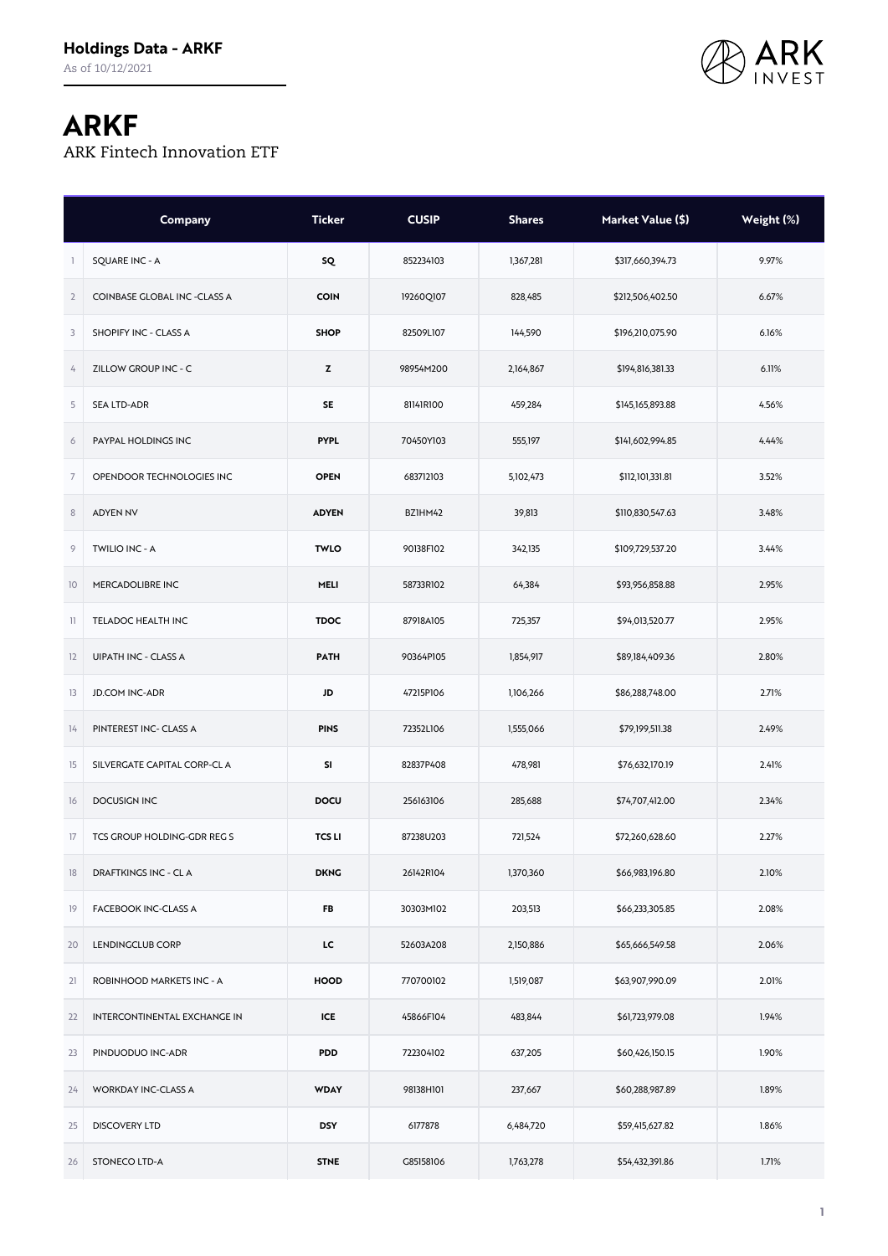

## **ARKF**

ARK Fintech Innovation ETF

|                         | Company                      | <b>Ticker</b> | <b>CUSIP</b> | <b>Shares</b> | Market Value (\$) | Weight (%) |
|-------------------------|------------------------------|---------------|--------------|---------------|-------------------|------------|
|                         | <b>SQUARE INC - A</b>        | SQ            | 852234103    | 1,367,281     | \$317,660,394.73  | 9.97%      |
| $\overline{2}$          | COINBASE GLOBAL INC -CLASS A | <b>COIN</b>   | 19260Q107    | 828,485       | \$212,506,402.50  | 6.67%      |
| 3                       | SHOPIFY INC - CLASS A        | <b>SHOP</b>   | 82509L107    | 144,590       | \$196,210,075.90  | 6.16%      |
| 4                       | ZILLOW GROUP INC - C         | z             | 98954M200    | 2,164,867     | \$194,816,381.33  | 6.11%      |
| 5                       | SEA LTD-ADR                  | <b>SE</b>     | 81141R100    | 459,284       | \$145,165,893.88  | 4.56%      |
| 6                       | PAYPAL HOLDINGS INC          | <b>PYPL</b>   | 70450Y103    | 555,197       | \$141,602,994.85  | 4.44%      |
| $\overline{7}$          | OPENDOOR TECHNOLOGIES INC    | <b>OPEN</b>   | 683712103    | 5,102,473     | \$112,101,331.81  | 3.52%      |
| $\,$ 8 $\,$             | <b>ADYEN NV</b>              | <b>ADYEN</b>  | BZ1HM42      | 39,813        | \$110,830,547.63  | 3.48%      |
| 9                       | TWILIO INC - A               | <b>TWLO</b>   | 90138F102    | 342,135       | \$109,729,537.20  | 3.44%      |
| 10                      | MERCADOLIBRE INC             | MELI          | 58733R102    | 64,384        | \$93,956,858.88   | 2.95%      |
| $\overline{\mathbf{1}}$ | TELADOC HEALTH INC           | <b>TDOC</b>   | 87918A105    | 725,357       | \$94,013,520.77   | 2.95%      |
| 12                      | UIPATH INC - CLASS A         | <b>PATH</b>   | 90364P105    | 1,854,917     | \$89,184,409.36   | 2.80%      |
| 13                      | <b>JD.COM INC-ADR</b>        | JD            | 47215P106    | 1,106,266     | \$86,288,748.00   | 2.71%      |
| 14                      | PINTEREST INC- CLASS A       | <b>PINS</b>   | 72352L106    | 1,555,066     | \$79,199,511.38   | 2.49%      |
| 15                      | SILVERGATE CAPITAL CORP-CL A | SI            | 82837P408    | 478,981       | \$76,632,170.19   | 2.41%      |
| 16                      | <b>DOCUSIGN INC</b>          | DOCU          | 256163106    | 285,688       | \$74,707,412.00   | 2.34%      |
| 17                      | TCS GROUP HOLDING-GDR REG S  | <b>TCS LI</b> | 87238U203    | 721,524       | \$72,260,628.60   | 2.27%      |
| 18                      | DRAFTKINGS INC - CL A        | <b>DKNG</b>   | 26142R104    | 1,370,360     | \$66,983,196.80   | 2.10%      |
| 19                      | FACEBOOK INC-CLASS A         | <b>FB</b>     | 30303M102    | 203,513       | \$66,233,305.85   | 2.08%      |
| 20                      | LENDINGCLUB CORP             | LC.           | 52603A208    | 2,150,886     | \$65,666,549.58   | 2.06%      |
| 21                      | ROBINHOOD MARKETS INC - A    | <b>HOOD</b>   | 770700102    | 1,519,087     | \$63,907,990.09   | 2.01%      |
| 22                      | INTERCONTINENTAL EXCHANGE IN | ICE           | 45866F104    | 483,844       | \$61,723,979.08   | 1.94%      |
| 23                      | PINDUODUO INC-ADR            | <b>PDD</b>    | 722304102    | 637,205       | \$60,426,150.15   | 1.90%      |
| 24                      | WORKDAY INC-CLASS A          | <b>WDAY</b>   | 98138H101    | 237,667       | \$60,288,987.89   | 1.89%      |
| 25                      | <b>DISCOVERY LTD</b>         | <b>DSY</b>    | 6177878      | 6,484,720     | \$59,415,627.82   | 1.86%      |
| 26                      | STONECO LTD-A                | <b>STNE</b>   | G85158106    | 1,763,278     | \$54,432,391.86   | 1.71%      |